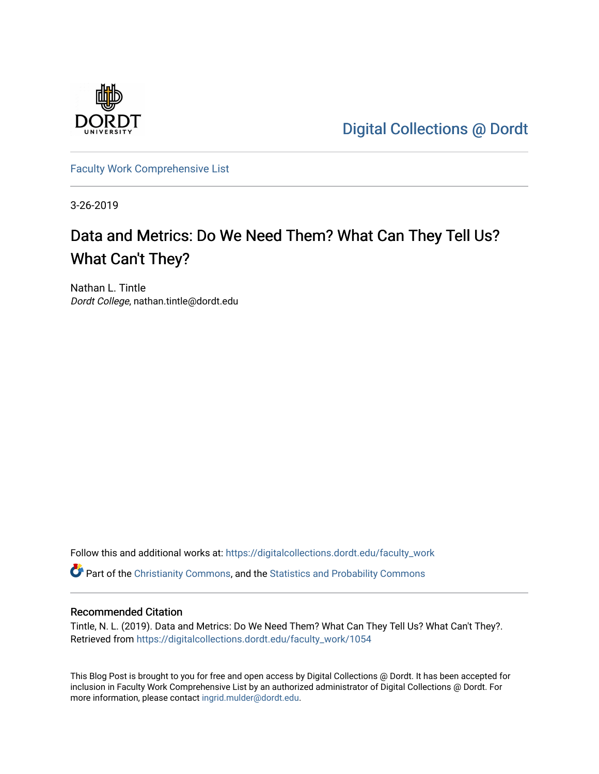

[Digital Collections @ Dordt](https://digitalcollections.dordt.edu/) 

[Faculty Work Comprehensive List](https://digitalcollections.dordt.edu/faculty_work)

3-26-2019

# Data and Metrics: Do We Need Them? What Can They Tell Us? What Can't They?

Nathan L. Tintle Dordt College, nathan.tintle@dordt.edu

Follow this and additional works at: [https://digitalcollections.dordt.edu/faculty\\_work](https://digitalcollections.dordt.edu/faculty_work?utm_source=digitalcollections.dordt.edu%2Ffaculty_work%2F1054&utm_medium=PDF&utm_campaign=PDFCoverPages) 

Part of the [Christianity Commons,](http://network.bepress.com/hgg/discipline/1181?utm_source=digitalcollections.dordt.edu%2Ffaculty_work%2F1054&utm_medium=PDF&utm_campaign=PDFCoverPages) and the [Statistics and Probability Commons](http://network.bepress.com/hgg/discipline/208?utm_source=digitalcollections.dordt.edu%2Ffaculty_work%2F1054&utm_medium=PDF&utm_campaign=PDFCoverPages) 

#### Recommended Citation

Tintle, N. L. (2019). Data and Metrics: Do We Need Them? What Can They Tell Us? What Can't They?. Retrieved from [https://digitalcollections.dordt.edu/faculty\\_work/1054](https://digitalcollections.dordt.edu/faculty_work/1054?utm_source=digitalcollections.dordt.edu%2Ffaculty_work%2F1054&utm_medium=PDF&utm_campaign=PDFCoverPages) 

This Blog Post is brought to you for free and open access by Digital Collections @ Dordt. It has been accepted for inclusion in Faculty Work Comprehensive List by an authorized administrator of Digital Collections @ Dordt. For more information, please contact [ingrid.mulder@dordt.edu.](mailto:ingrid.mulder@dordt.edu)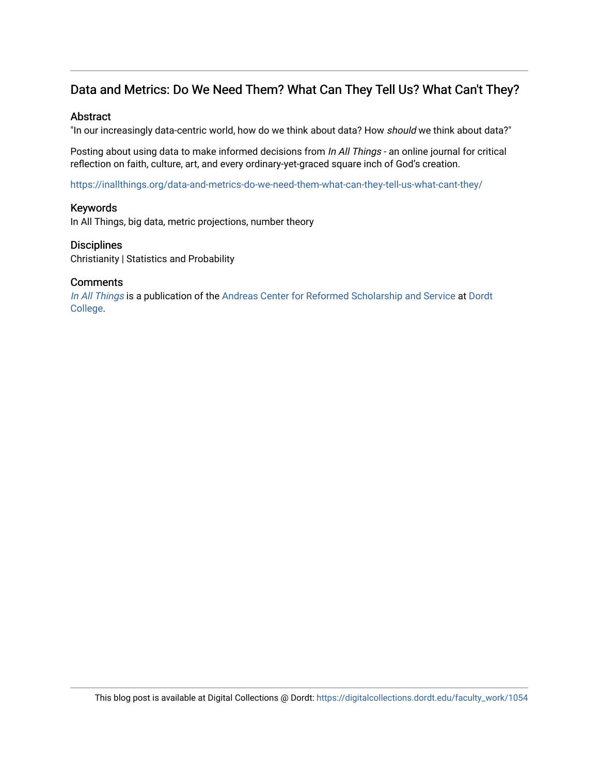# Data and Metrics: Do We Need Them? What Can They Tell Us? What Can't They?

## **Abstract**

"In our increasingly data-centric world, how do we think about data? How should we think about data?"

Posting about using data to make informed decisions from *In All Things* - an online journal for critical reflection on faith, culture, art, and every ordinary-yet-graced square inch of God's creation.

<https://inallthings.org/data-and-metrics-do-we-need-them-what-can-they-tell-us-what-cant-they/>

## Keywords

In All Things, big data, metric projections, number theory

#### **Disciplines**

Christianity | Statistics and Probability

## **Comments**

[In All Things](http://inallthings.org/) is a publication of the [Andreas Center for Reformed Scholarship and Service](http://www.dordt.edu/services_support/andreas_center/) at Dordt [College](http://www.dordt.edu/).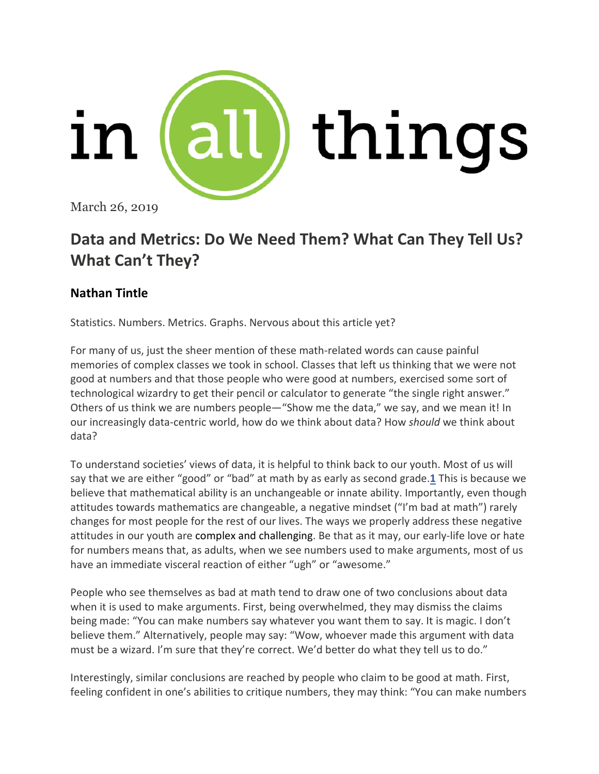

March 26, 2019

# **Data and Metrics: Do We Need Them? What Can They Tell Us? What Can't They?**

# **Nathan Tintle**

Statistics. Numbers. Metrics. Graphs. Nervous about this article yet?

For many of us, just the sheer mention of these math-related words can cause painful memories of complex classes we took in school. Classes that left us thinking that we were not good at numbers and that those people who were good at numbers, exercised some sort of technological wizardry to get their pencil or calculator to generate "the single right answer." Others of us think we are numbers people—"Show me the data," we say, and we mean it! In our increasingly data-centric world, how do we think about data? How *should* we think about data?

To understand societies' views of data, it is helpful to think back to our youth. Most of us will say that we are either "good" or "bad" at math by as early as second grade.**[1](https://inallthings.org/data-and-metrics-do-we-need-them-what-can-they-tell-us-what-cant-they/#fn1-16663)** This is because we believe that mathematical ability is an unchangeable or innate ability. Importantly, even though attitudes towards mathematics are changeable, a negative mindset ("I'm bad at math") rarely changes for most people for the rest of our lives. The ways we properly address these negative attitudes in our youth are complex and challenging. Be that as it may, our early-life love or hate for numbers means that, as adults, when we see numbers used to make arguments, most of us have an immediate visceral reaction of either "ugh" or "awesome."

People who see themselves as bad at math tend to draw one of two conclusions about data when it is used to make arguments. First, being overwhelmed, they may dismiss the claims being made: "You can make numbers say whatever you want them to say. It is magic. I don't believe them." Alternatively, people may say: "Wow, whoever made this argument with data must be a wizard. I'm sure that they're correct. We'd better do what they tell us to do."

Interestingly, similar conclusions are reached by people who claim to be good at math. First, feeling confident in one's abilities to critique numbers, they may think: "You can make numbers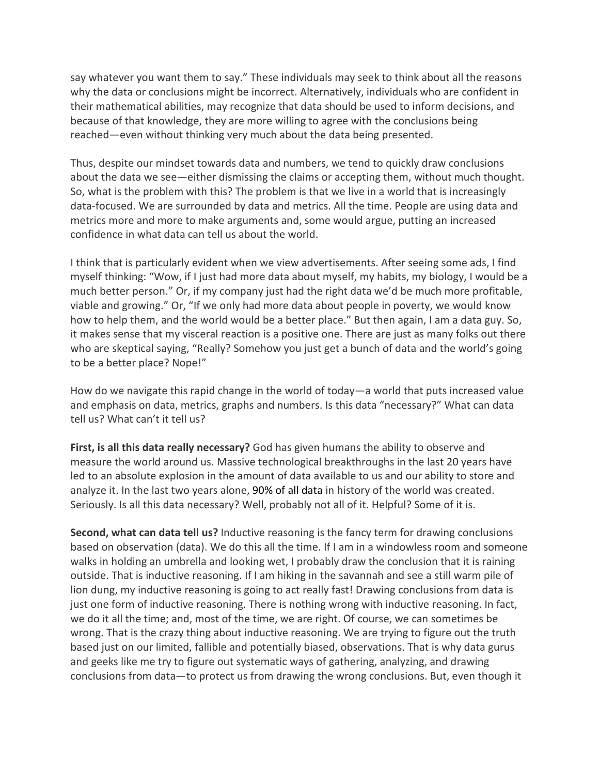say whatever you want them to say." These individuals may seek to think about all the reasons why the data or conclusions might be incorrect. Alternatively, individuals who are confident in their mathematical abilities, may recognize that data should be used to inform decisions, and because of that knowledge, they are more willing to agree with the conclusions being reached—even without thinking very much about the data being presented.

Thus, despite our mindset towards data and numbers, we tend to quickly draw conclusions about the data we see—either dismissing the claims or accepting them, without much thought. So, what is the problem with this? The problem is that we live in a world that is increasingly data-focused. We are surrounded by data and metrics. All the time. People are using data and metrics more and more to make arguments and, some would argue, putting an increased confidence in what data can tell us about the world.

I think that is particularly evident when we view advertisements. After seeing some ads, I find myself thinking: "Wow, if I just had more data about myself, my habits, my biology, I would be a much better person." Or, if my company just had the right data we'd be much more profitable, viable and growing." Or, "If we only had more data about people in poverty, we would know how to help them, and the world would be a better place." But then again, I am a data guy. So, it makes sense that my visceral reaction is a positive one. There are just as many folks out there who are skeptical saying, "Really? Somehow you just get a bunch of data and the world's going to be a better place? Nope!"

How do we navigate this rapid change in the world of today—a world that puts increased value and emphasis on data, metrics, graphs and numbers. Is this data "necessary?" What can data tell us? What can't it tell us?

**First, is all this data really necessary?** God has given humans the ability to observe and measure the world around us. Massive technological breakthroughs in the last 20 years have led to an absolute explosion in the amount of data available to us and our ability to store and analyze it. In the last two years alone, 90% of all [data](https://www.forbes.com/sites/bernardmarr/2018/05/21/how-much-data-do-we-create-every-day-the-mind-blowing-stats-everyone-should-read/#23870c60ba99) in history of the world was created. Seriously. Is all this data necessary? Well, probably not all of it. Helpful? Some of it is.

**Second, what can data tell us?** Inductive reasoning is the fancy term for drawing conclusions based on observation (data). We do this all the time. If I am in a windowless room and someone walks in holding an umbrella and looking wet, I probably draw the conclusion that it is raining outside. That is inductive reasoning. If I am hiking in the savannah and see a still warm pile of lion dung, my inductive reasoning is going to act really fast! Drawing conclusions from data is just one form of inductive reasoning. There is nothing wrong with inductive reasoning. In fact, we do it all the time; and, most of the time, we are right. Of course, we can sometimes be wrong. That is the crazy thing about inductive reasoning. We are trying to figure out the truth based just on our limited, fallible and potentially biased, observations. That is why data gurus and geeks like me try to figure out systematic ways of gathering, analyzing, and drawing conclusions from data—to protect us from drawing the wrong conclusions. But, even though it